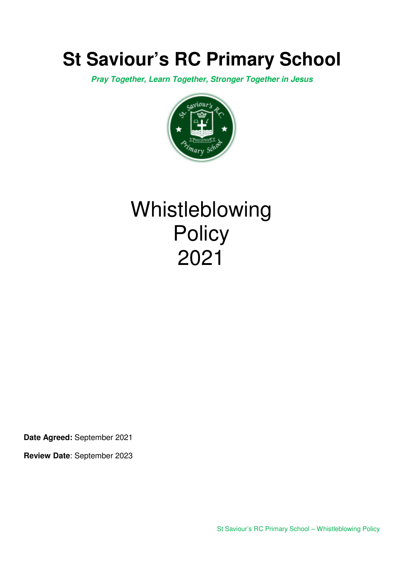# **St Saviour's RC Primary School**

**Pray Together, Learn Together, Stronger Together in Jesus** 



# Whistleblowing **Policy** 2021

**Date Agreed:** September 2021

**Review Date**: September 2023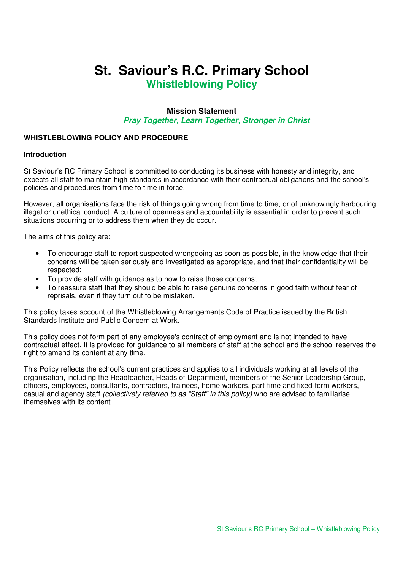# **St. Saviour's R.C. Primary School Whistleblowing Policy**

# **Mission Statement Pray Together, Learn Together, Stronger in Christ**

# **WHISTLEBLOWING POLICY AND PROCEDURE**

#### **Introduction**

St Saviour's RC Primary School is committed to conducting its business with honesty and integrity, and expects all staff to maintain high standards in accordance with their contractual obligations and the school's policies and procedures from time to time in force.

However, all organisations face the risk of things going wrong from time to time, or of unknowingly harbouring illegal or unethical conduct. A culture of openness and accountability is essential in order to prevent such situations occurring or to address them when they do occur.

The aims of this policy are:

- To encourage staff to report suspected wrongdoing as soon as possible, in the knowledge that their concerns will be taken seriously and investigated as appropriate, and that their confidentiality will be respected;
- To provide staff with guidance as to how to raise those concerns;
- To reassure staff that they should be able to raise genuine concerns in good faith without fear of reprisals, even if they turn out to be mistaken.

This policy takes account of the Whistleblowing Arrangements Code of Practice issued by the British Standards Institute and Public Concern at Work.

This policy does not form part of any employee's contract of employment and is not intended to have contractual effect. It is provided for guidance to all members of staff at the school and the school reserves the right to amend its content at any time.

This Policy reflects the school's current practices and applies to all individuals working at all levels of the organisation, including the Headteacher, Heads of Department, members of the Senior Leadership Group, officers, employees, consultants, contractors, trainees, home-workers, part-time and fixed-term workers, casual and agency staff (collectively referred to as "Staff" in this policy) who are advised to familiarise themselves with its content.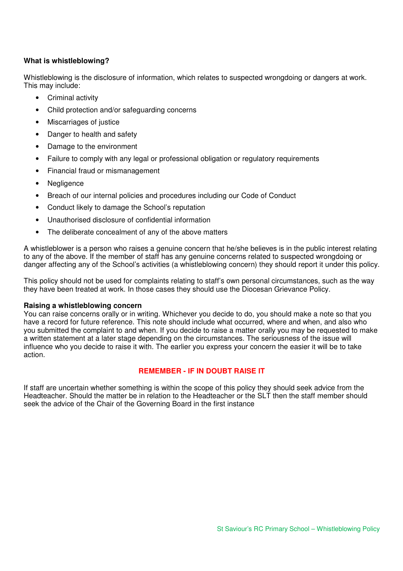# **What is whistleblowing?**

Whistleblowing is the disclosure of information, which relates to suspected wrongdoing or dangers at work. This may include:

- Criminal activity
- Child protection and/or safeguarding concerns
- Miscarriages of justice
- Danger to health and safety
- Damage to the environment
- Failure to comply with any legal or professional obligation or regulatory requirements
- Financial fraud or mismanagement
- **Negligence**
- Breach of our internal policies and procedures including our Code of Conduct
- Conduct likely to damage the School's reputation
- Unauthorised disclosure of confidential information
- The deliberate concealment of any of the above matters

A whistleblower is a person who raises a genuine concern that he/she believes is in the public interest relating to any of the above. If the member of staff has any genuine concerns related to suspected wrongdoing or danger affecting any of the School's activities (a whistleblowing concern) they should report it under this policy.

This policy should not be used for complaints relating to staff's own personal circumstances, such as the way they have been treated at work. In those cases they should use the Diocesan Grievance Policy.

#### **Raising a whistleblowing concern**

You can raise concerns orally or in writing. Whichever you decide to do, you should make a note so that you have a record for future reference. This note should include what occurred, where and when, and also who you submitted the complaint to and when. If you decide to raise a matter orally you may be requested to make a written statement at a later stage depending on the circumstances. The seriousness of the issue will influence who you decide to raise it with. The earlier you express your concern the easier it will be to take action.

### **REMEMBER - IF IN DOUBT RAISE IT**

If staff are uncertain whether something is within the scope of this policy they should seek advice from the Headteacher. Should the matter be in relation to the Headteacher or the SLT then the staff member should seek the advice of the Chair of the Governing Board in the first instance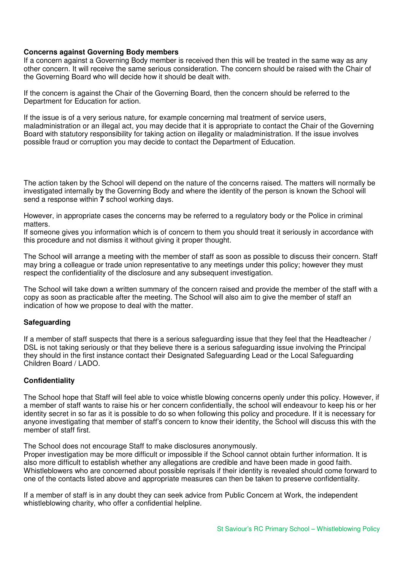# **Concerns against Governing Body members**

If a concern against a Governing Body member is received then this will be treated in the same way as any other concern. It will receive the same serious consideration. The concern should be raised with the Chair of the Governing Board who will decide how it should be dealt with.

If the concern is against the Chair of the Governing Board, then the concern should be referred to the Department for Education for action.

If the issue is of a very serious nature, for example concerning mal treatment of service users, maladministration or an illegal act, you may decide that it is appropriate to contact the Chair of the Governing Board with statutory responsibility for taking action on illegality or maladministration. If the issue involves possible fraud or corruption you may decide to contact the Department of Education.

The action taken by the School will depend on the nature of the concerns raised. The matters will normally be investigated internally by the Governing Body and where the identity of the person is known the School will send a response within **7** school working days.

However, in appropriate cases the concerns may be referred to a regulatory body or the Police in criminal matters.

If someone gives you information which is of concern to them you should treat it seriously in accordance with this procedure and not dismiss it without giving it proper thought.

The School will arrange a meeting with the member of staff as soon as possible to discuss their concern. Staff may bring a colleague or trade union representative to any meetings under this policy; however they must respect the confidentiality of the disclosure and any subsequent investigation.

The School will take down a written summary of the concern raised and provide the member of the staff with a copy as soon as practicable after the meeting. The School will also aim to give the member of staff an indication of how we propose to deal with the matter.

### **Safeguarding**

If a member of staff suspects that there is a serious safeguarding issue that they feel that the Headteacher / DSL is not taking seriously or that they believe there is a serious safeguarding issue involving the Principal they should in the first instance contact their Designated Safeguarding Lead or the Local Safeguarding Children Board / LADO.

### **Confidentiality**

The School hope that Staff will feel able to voice whistle blowing concerns openly under this policy. However, if a member of staff wants to raise his or her concern confidentially, the school will endeavour to keep his or her identity secret in so far as it is possible to do so when following this policy and procedure. If it is necessary for anyone investigating that member of staff's concern to know their identity, the School will discuss this with the member of staff first.

The School does not encourage Staff to make disclosures anonymously.

Proper investigation may be more difficult or impossible if the School cannot obtain further information. It is also more difficult to establish whether any allegations are credible and have been made in good faith. Whistleblowers who are concerned about possible reprisals if their identity is revealed should come forward to one of the contacts listed above and appropriate measures can then be taken to preserve confidentiality.

If a member of staff is in any doubt they can seek advice from Public Concern at Work, the independent whistleblowing charity, who offer a confidential helpline.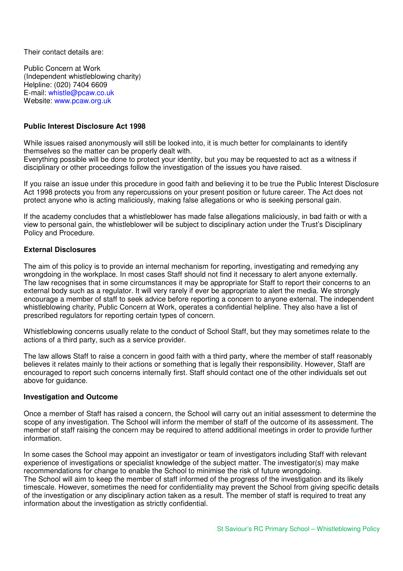Their contact details are:

Public Concern at Work (Independent whistleblowing charity) Helpline: (020) 7404 6609 E-mail: whistle@pcaw.co.uk Website: www.pcaw.org.uk

# **Public Interest Disclosure Act 1998**

While issues raised anonymously will still be looked into, it is much better for complainants to identify themselves so the matter can be properly dealt with.

Everything possible will be done to protect your identity, but you may be requested to act as a witness if disciplinary or other proceedings follow the investigation of the issues you have raised.

If you raise an issue under this procedure in good faith and believing it to be true the Public Interest Disclosure Act 1998 protects you from any repercussions on your present position or future career. The Act does not protect anyone who is acting maliciously, making false allegations or who is seeking personal gain.

If the academy concludes that a whistleblower has made false allegations maliciously, in bad faith or with a view to personal gain, the whistleblower will be subject to disciplinary action under the Trust's Disciplinary Policy and Procedure.

### **External Disclosures**

The aim of this policy is to provide an internal mechanism for reporting, investigating and remedying any wrongdoing in the workplace. In most cases Staff should not find it necessary to alert anyone externally. The law recognises that in some circumstances it may be appropriate for Staff to report their concerns to an external body such as a regulator. It will very rarely if ever be appropriate to alert the media. We strongly encourage a member of staff to seek advice before reporting a concern to anyone external. The independent whistleblowing charity, Public Concern at Work, operates a confidential helpline. They also have a list of prescribed regulators for reporting certain types of concern.

Whistleblowing concerns usually relate to the conduct of School Staff, but they may sometimes relate to the actions of a third party, such as a service provider.

The law allows Staff to raise a concern in good faith with a third party, where the member of staff reasonably believes it relates mainly to their actions or something that is legally their responsibility. However, Staff are encouraged to report such concerns internally first. Staff should contact one of the other individuals set out above for guidance.

### **Investigation and Outcome**

Once a member of Staff has raised a concern, the School will carry out an initial assessment to determine the scope of any investigation. The School will inform the member of staff of the outcome of its assessment. The member of staff raising the concern may be required to attend additional meetings in order to provide further information.

In some cases the School may appoint an investigator or team of investigators including Staff with relevant experience of investigations or specialist knowledge of the subject matter. The investigator(s) may make recommendations for change to enable the School to minimise the risk of future wrongdoing. The School will aim to keep the member of staff informed of the progress of the investigation and its likely timescale. However, sometimes the need for confidentiality may prevent the School from giving specific details of the investigation or any disciplinary action taken as a result. The member of staff is required to treat any information about the investigation as strictly confidential.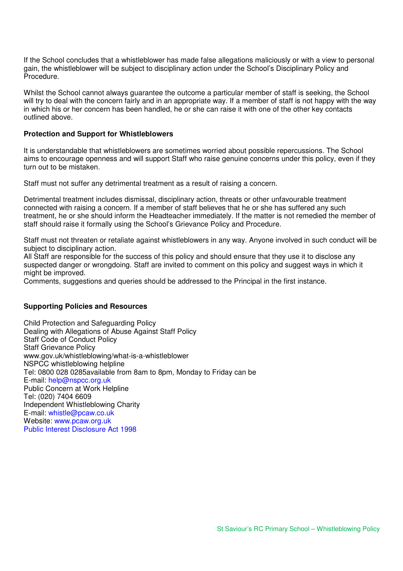If the School concludes that a whistleblower has made false allegations maliciously or with a view to personal gain, the whistleblower will be subject to disciplinary action under the School's Disciplinary Policy and Procedure.

Whilst the School cannot always guarantee the outcome a particular member of staff is seeking, the School will try to deal with the concern fairly and in an appropriate way. If a member of staff is not happy with the way in which his or her concern has been handled, he or she can raise it with one of the other key contacts outlined above.

## **Protection and Support for Whistleblowers**

It is understandable that whistleblowers are sometimes worried about possible repercussions. The School aims to encourage openness and will support Staff who raise genuine concerns under this policy, even if they turn out to be mistaken.

Staff must not suffer any detrimental treatment as a result of raising a concern.

Detrimental treatment includes dismissal, disciplinary action, threats or other unfavourable treatment connected with raising a concern. If a member of staff believes that he or she has suffered any such treatment, he or she should inform the Headteacher immediately. If the matter is not remedied the member of staff should raise it formally using the School's Grievance Policy and Procedure.

Staff must not threaten or retaliate against whistleblowers in any way. Anyone involved in such conduct will be subject to disciplinary action.

All Staff are responsible for the success of this policy and should ensure that they use it to disclose any suspected danger or wrongdoing. Staff are invited to comment on this policy and suggest ways in which it might be improved.

Comments, suggestions and queries should be addressed to the Principal in the first instance.

### **Supporting Policies and Resources**

Child Protection and Safeguarding Policy Dealing with Allegations of Abuse Against Staff Policy Staff Code of Conduct Policy Staff Grievance Policy www.gov.uk/whistleblowing/what-is-a-whistleblower NSPCC whistleblowing helpline Tel: 0800 028 0285available from 8am to 8pm, Monday to Friday can be E-mail: help@nspcc.org.uk Public Concern at Work Helpline Tel: (020) 7404 6609 Independent Whistleblowing Charity E-mail: whistle@pcaw.co.uk Website: www.pcaw.org.uk Public Interest Disclosure Act 1998